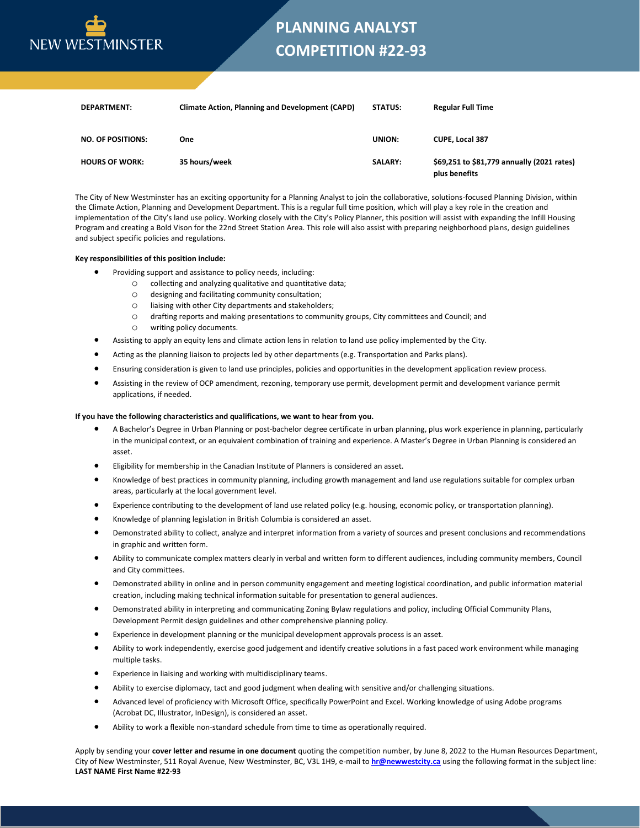

## **PLANNING ANALYST COMPETITION #22-93**

| <b>DEPARTMENT:</b>       | <b>Climate Action, Planning and Development (CAPD)</b> | <b>STATUS:</b> | <b>Regular Full Time</b>                                    |
|--------------------------|--------------------------------------------------------|----------------|-------------------------------------------------------------|
| <b>NO. OF POSITIONS:</b> | One                                                    | <b>UNION:</b>  | <b>CUPE, Local 387</b>                                      |
| <b>HOURS OF WORK:</b>    | 35 hours/week                                          | <b>SALARY:</b> | \$69,251 to \$81,779 annually (2021 rates)<br>plus benefits |

The City of New Westminster has an exciting opportunity for a Planning Analyst to join the collaborative, solutions-focused Planning Division, within the Climate Action, Planning and Development Department. This is a regular full time position, which will play a key role in the creation and implementation of the City's land use policy. Working closely with the City's Policy Planner, this position will assist with expanding the Infill Housing Program and creating a Bold Vison for the 22nd Street Station Area. This role will also assist with preparing neighborhood plans, design guidelines and subject specific policies and regulations.

## **Key responsibilities of this position include:**

- Providing support and assistance to policy needs, including:
	- o collecting and analyzing qualitative and quantitative data;
		- o designing and facilitating community consultation;
		- o liaising with other City departments and stakeholders;
		- o drafting reports and making presentations to community groups, City committees and Council; and
		- o writing policy documents.
- Assisting to apply an equity lens and climate action lens in relation to land use policy implemented by the City.
- Acting as the planning liaison to projects led by other departments (e.g. Transportation and Parks plans).
- Ensuring consideration is given to land use principles, policies and opportunities in the development application review process.
- Assisting in the review of OCP amendment, rezoning, temporary use permit, development permit and development variance permit applications, if needed.

## **If you have the following characteristics and qualifications, we want to hear from you.**

- A Bachelor's Degree in Urban Planning or post-bachelor degree certificate in urban planning, plus work experience in planning, particularly in the municipal context, or an equivalent combination of training and experience. A Master's Degree in Urban Planning is considered an asset.
- Eligibility for membership in the Canadian Institute of Planners is considered an asset.
- Knowledge of best practices in community planning, including growth management and land use regulations suitable for complex urban areas, particularly at the local government level.
- Experience contributing to the development of land use related policy (e.g. housing, economic policy, or transportation planning).
- Knowledge of planning legislation in British Columbia is considered an asset.
- Demonstrated ability to collect, analyze and interpret information from a variety of sources and present conclusions and recommendations in graphic and written form.
- Ability to communicate complex matters clearly in verbal and written form to different audiences, including community members, Council and City committees.
- Demonstrated ability in online and in person community engagement and meeting logistical coordination, and public information material creation, including making technical information suitable for presentation to general audiences.
- Demonstrated ability in interpreting and communicating Zoning Bylaw regulations and policy, including Official Community Plans, Development Permit design guidelines and other comprehensive planning policy.
- Experience in development planning or the municipal development approvals process is an asset.
- Ability to work independently, exercise good judgement and identify creative solutions in a fast paced work environment while managing multiple tasks.
- Experience in liaising and working with multidisciplinary teams.
- Ability to exercise diplomacy, tact and good judgment when dealing with sensitive and/or challenging situations.
- Advanced level of proficiency with Microsoft Office, specifically PowerPoint and Excel. Working knowledge of using Adobe programs (Acrobat DC, Illustrator, InDesign), is considered an asset.
- Ability to work a flexible non-standard schedule from time to time as operationally required.

Apply by sending your **cover letter and resume in one document** quoting the competition number, by June 8, 2022 to the Human Resources Department, City of New Westminster, 511 Royal Avenue, New Westminster, BC, V3L 1H9, e-mail to **[hr@newwestcity.ca](mailto:hr@newwestcity.ca)** using the following format in the subject line: **LAST NAME First Name #22-93**